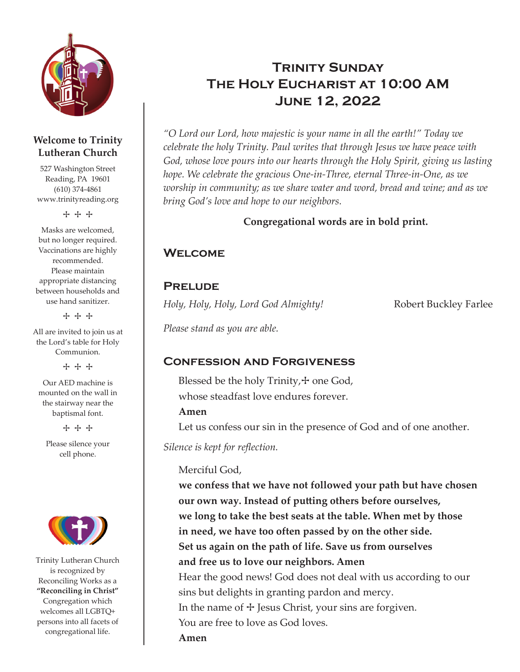

#### **Welcome to Trinity Lutheran Church**

527 Washington Street Reading, PA 19601 (610) 374-4861 www.trinityreading.org

+ + +

Masks are welcomed, but no longer required. Vaccinations are highly recommended. Please maintain appropriate distancing between households and use hand sanitizer.

+ + +

All are invited to join us at the Lord's table for Holy Communion.

+ + +

Our AED machine is mounted on the wall in the stairway near the baptismal font.

+ + +

Please silence your cell phone.



Trinity Lutheran Church is recognized by Reconciling Works as a **"Reconciling in Christ"** Congregation which welcomes all LGBTQ+ persons into all facets of congregational life.

# **TRINITY SUNDAY** The Holy Eucharist at 10:00 AM June 12, 2022

*"O Lord our Lord, how majestic is your name in all the earth!" Today we celebrate the holy Trinity. Paul writes that through Jesus we have peace with God, whose love pours into our hearts through the Holy Spirit, giving us lasting hope. We celebrate the gracious One-in-Three, eternal Three-in-One, as we worship in community; as we share water and word, bread and wine; and as we bring God's love and hope to our neighbors.*

#### **Congregational words are in bold print.**

## **WELCOME**

### **PRELUDE**

*Holy, Holy, Holy, Lord God Almighty!* Robert Buckley Farlee

*Please stand as you are able.*

## Confession and Forgiveness

Blessed be the holy Trinity, $+$  one God, whose steadfast love endures forever.

#### **Amen**

Let us confess our sin in the presence of God and of one another.

*Silence is kept for reflection.*

#### Merciful God,

**we confess that we have not followed your path but have chosen our own way. Instead of putting others before ourselves, we long to take the best seats at the table. When met by those in need, we have too often passed by on the other side. Set us again on the path of life. Save us from ourselves and free us to love our neighbors. Amen** Hear the good news! God does not deal with us according to our sins but delights in granting pardon and mercy. In the name of  $+$  Jesus Christ, your sins are forgiven. You are free to love as God loves. **Amen**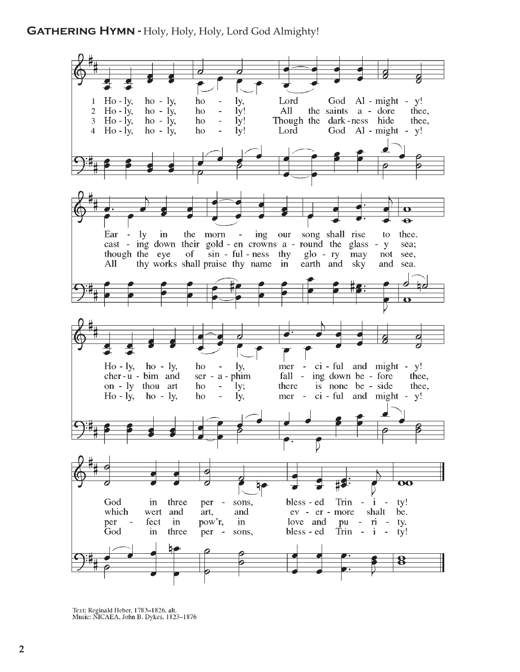#### GATHERING HYMN - Holy, Holy, Holy, Lord God Almighty!



Text: Reginald Heber, 1783-1826, alt.<br>Music: NICAEA, John B. Dykes, 1823-1876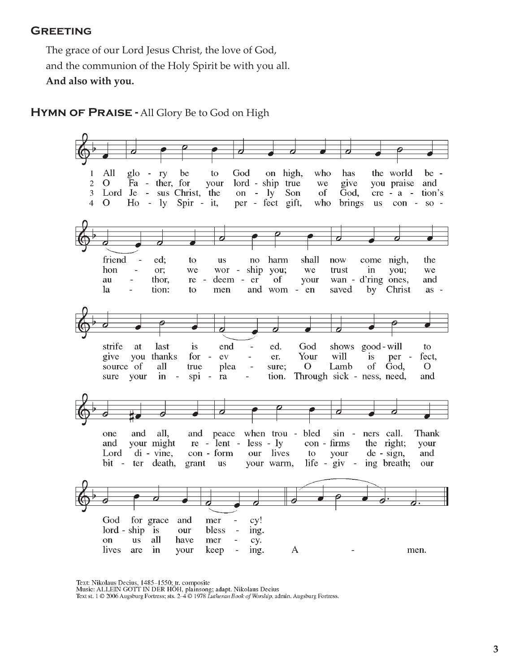#### **GREETING**

The grace of our Lord Jesus Christ, the love of God, and the communion of the Holy Spirit be with you all. **And also with you.**

HYMN OF PRAISE - All Glory Be to God on High



Text: Nikolaus Decius, 1485-1550; tr. composite

Music: ALLEIN GOTT IN DER HÖH, plainsong; adapt. Nikolaus Decius<br>Text st. 1 © 2006 Augsburg Fortress; sts. 2–4 © 1978 *Lutheran Book of Worship*, admin. Augsburg Fortress.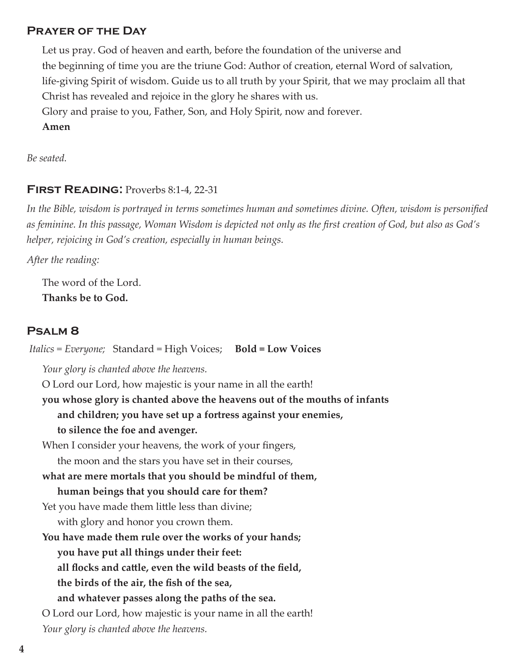#### Prayer of the Day

Let us pray. God of heaven and earth, before the foundation of the universe and the beginning of time you are the triune God: Author of creation, eternal Word of salvation, life-giving Spirit of wisdom. Guide us to all truth by your Spirit, that we may proclaim all that Christ has revealed and rejoice in the glory he shares with us. Glory and praise to you, Father, Son, and Holy Spirit, now and forever. **Amen**

*Be seated.*

#### FIRST READING: Proverbs 8:1-4, 22-31

*In the Bible, wisdom is portrayed in terms sometimes human and sometimes divine. Often, wisdom is personified as feminine. In this passage, Woman Wisdom is depicted not only as the first creation of God, but also as God's helper, rejoicing in God's creation, especially in human beings.*

*After the reading:*

The word of the Lord. **Thanks be to God.**

#### Psalm 8

 *Italics = Everyone;* Standard = High Voices;**Bold = Low Voices** *Your glory is chanted above the heavens.* O Lord our Lord, how majestic is your name in all the earth! **you whose glory is chanted above the heavens out of the mouths of infants and children; you have set up a fortress against your enemies, to silence the foe and avenger.** When I consider your heavens, the work of your fingers, the moon and the stars you have set in their courses, **what are mere mortals that you should be mindful of them, human beings that you should care for them?** Yet you have made them little less than divine; with glory and honor you crown them. **You have made them rule over the works of your hands; you have put all things under their feet: all flocks and cattle, even the wild beasts of the field, the birds of the air, the fish of the sea, and whatever passes along the paths of the sea.** O Lord our Lord, how majestic is your name in all the earth! *Your glory is chanted above the heavens.*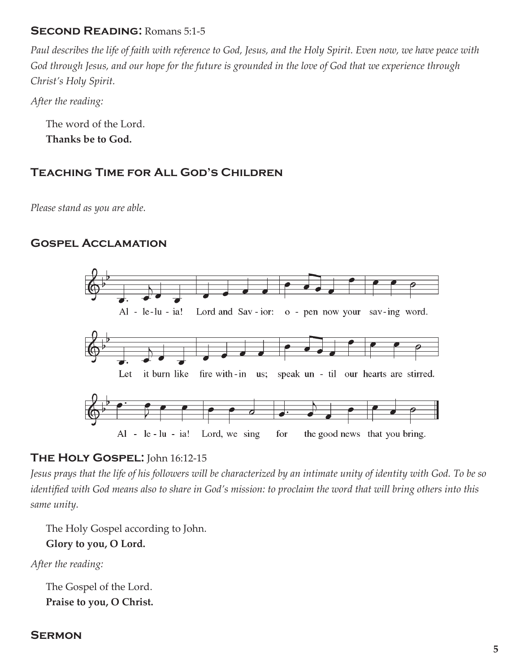### SECOND READING: Romans 5:1-5

*Paul describes the life of faith with reference to God, Jesus, and the Holy Spirit. Even now, we have peace with God through Jesus, and our hope for the future is grounded in the love of God that we experience through Christ's Holy Spirit.*

*After the reading:*

The word of the Lord. **Thanks be to God.**

## Teaching Time for All God's Children

*Please stand as you are able.*

## Gospel Acclamation



## THE HOLY GOSPEL: John 16:12-15

*Jesus prays that the life of his followers will be characterized by an intimate unity of identity with God. To be so identified with God means also to share in God's mission: to proclaim the word that will bring others into this same unity.*

The Holy Gospel according to John. **Glory to you, O Lord.**

*After the reading:*

The Gospel of the Lord. **Praise to you, O Christ.**

#### **SERMON**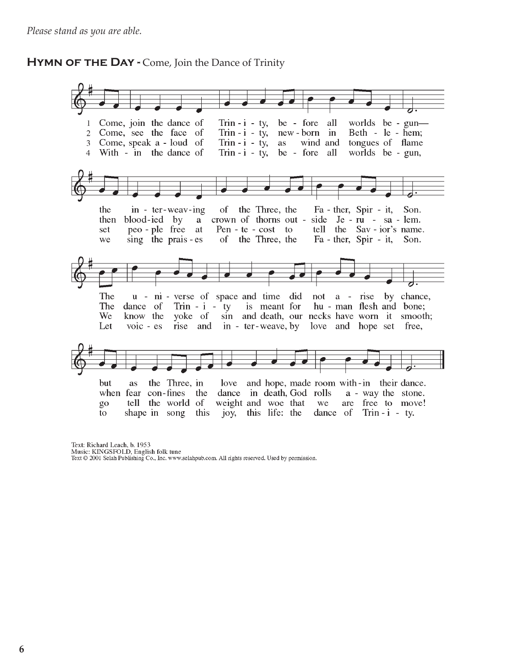#### **HYMN OF THE DAY - Come, Join the Dance of Trinity**



Text: Richard Leach, b. 1953 Music: KINGSFOLD, English folk tune Text © 2001 Selah Publishing Co., Inc. www.selahpub.com. All rights reserved. Used by permission.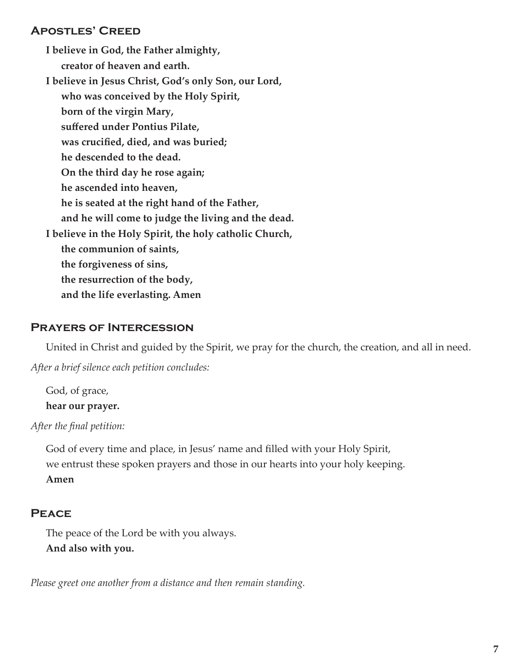#### Apostles' Creed

**I believe in God, the Father almighty, creator of heaven and earth. I believe in Jesus Christ, God's only Son, our Lord, who was conceived by the Holy Spirit, born of the virgin Mary, suffered under Pontius Pilate, was crucified, died, and was buried; he descended to the dead. On the third day he rose again; he ascended into heaven, he is seated at the right hand of the Father, and he will come to judge the living and the dead. I believe in the Holy Spirit, the holy catholic Church, the communion of saints, the forgiveness of sins, the resurrection of the body, and the life everlasting. Amen**

#### Prayers of Intercession

United in Christ and guided by the Spirit, we pray for the church, the creation, and all in need.

*After a brief silence each petition concludes:*

God, of grace, **hear our prayer.**

*After the final petition:*

God of every time and place, in Jesus' name and filled with your Holy Spirit, we entrust these spoken prayers and those in our hearts into your holy keeping. **Amen** 

### **PEACE**

The peace of the Lord be with you always. **And also with you.**

*Please greet one another from a distance and then remain standing.*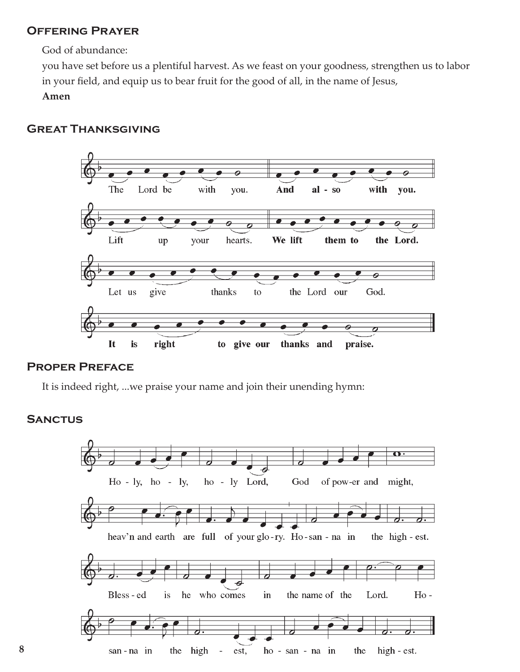### Offering Prayer

God of abundance:

you have set before us a plentiful harvest. As we feast on your goodness, strengthen us to labor in your field, and equip us to bear fruit for the good of all, in the name of Jesus,

**Amen**

## Great Thanksgiving



#### Proper Preface

It is indeed right, ...we praise your name and join their unending hymn:

#### **SANCTUS**

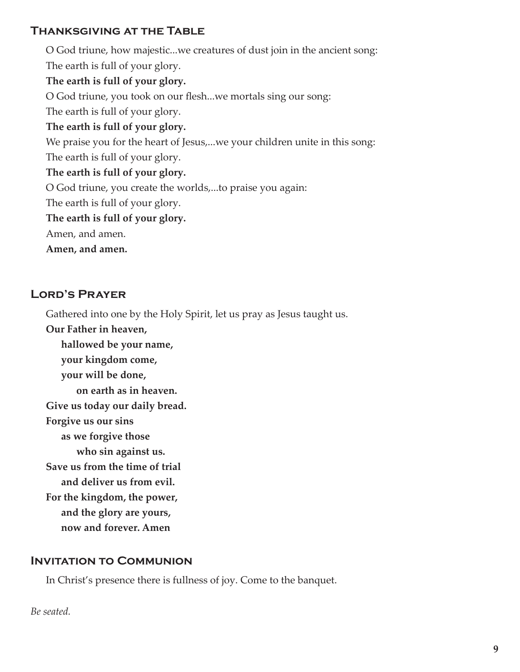## Thanksgiving at the Table

O God triune, how majestic...we creatures of dust join in the ancient song: The earth is full of your glory. **The earth is full of your glory.** O God triune, you took on our flesh...we mortals sing our song: The earth is full of your glory. **The earth is full of your glory.** We praise you for the heart of Jesus,...we your children unite in this song: The earth is full of your glory. **The earth is full of your glory.** O God triune, you create the worlds,...to praise you again: The earth is full of your glory. **The earth is full of your glory.** Amen, and amen. **Amen, and amen.**

## Lord's Prayer

Gathered into one by the Holy Spirit, let us pray as Jesus taught us.

**Our Father in heaven, hallowed be your name, your kingdom come, your will be done, on earth as in heaven. Give us today our daily bread. Forgive us our sins as we forgive those who sin against us. Save us from the time of trial and deliver us from evil. For the kingdom, the power, and the glory are yours, now and forever. Amen**

#### Invitation to Communion

In Christ's presence there is fullness of joy. Come to the banquet.

*Be seated.*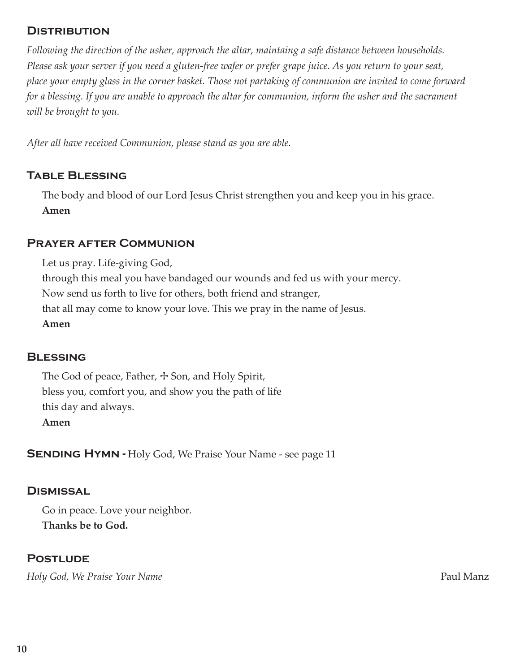### **DISTRIBUTION**

*Following the direction of the usher, approach the altar, maintaing a safe distance between households. Please ask your server if you need a gluten-free wafer or prefer grape juice. As you return to your seat, place your empty glass in the corner basket. Those not partaking of communion are invited to come forward for a blessing. If you are unable to approach the altar for communion, inform the usher and the sacrament will be brought to you.* 

*After all have received Communion, please stand as you are able.*

### **TABLE BLESSING**

The body and blood of our Lord Jesus Christ strengthen you and keep you in his grace. **Amen**

#### Prayer after Communion

Let us pray. Life-giving God, through this meal you have bandaged our wounds and fed us with your mercy. Now send us forth to live for others, both friend and stranger, that all may come to know your love. This we pray in the name of Jesus. **Amen**

#### **BLESSING**

The God of peace, Father,  $\pm$  Son, and Holy Spirit, bless you, comfort you, and show you the path of life this day and always. **Amen**

**SENDING HYMN - Holy God, We Praise Your Name - see page 11** 

#### **DISMISSAL**

Go in peace. Love your neighbor. **Thanks be to God.**

## **POSTLUDE**

*Holy God, We Praise Your Name Paul Manz*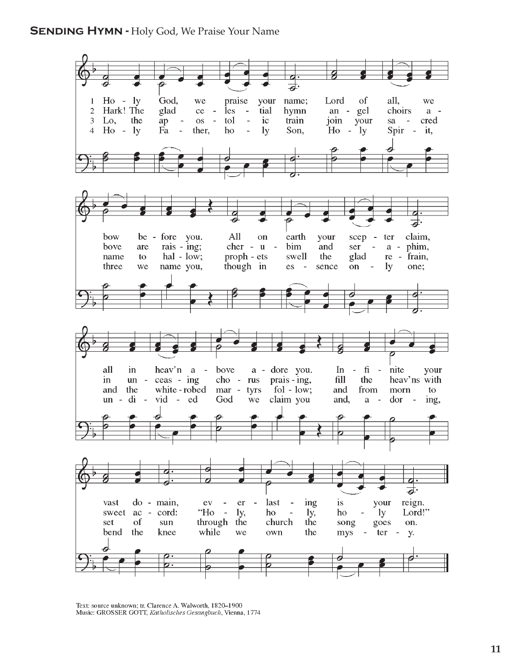

Text: source unknown; tr. Clarence A. Walworth, 1820-1900 Music: GROSSER GOTT, Katholisches Gesangbuch, Vienna, 1774